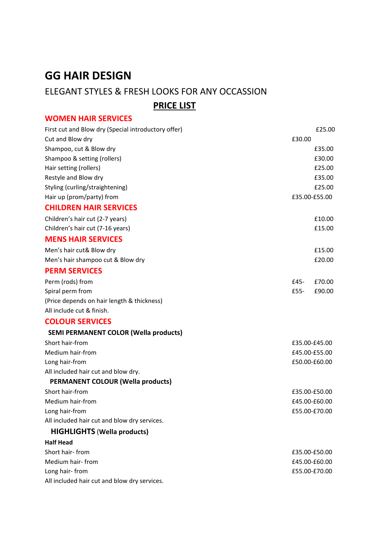# **GG HAIR DESIGN**

## ELEGANT STYLES & FRESH LOOKS FOR ANY OCCASSION

 **PRICE LIST**

## **WOMEN HAIR SERVICES**

| First cut and Blow dry (Special introductory offer) | £25.00           |
|-----------------------------------------------------|------------------|
| Cut and Blow dry                                    | £30.00           |
| Shampoo, cut & Blow dry                             | £35.00           |
| Shampoo & setting (rollers)                         | £30.00           |
| Hair setting (rollers)                              | £25.00           |
| Restyle and Blow dry                                | £35.00           |
| Styling (curling/straightening)                     | £25.00           |
| Hair up (prom/party) from                           | £35.00-£55.00    |
| <b>CHILDREN HAIR SERVICES</b>                       |                  |
| Children's hair cut (2-7 years)                     | £10.00           |
| Children's hair cut (7-16 years)                    | £15.00           |
| <b>MENS HAIR SERVICES</b>                           |                  |
| Men's hair cut& Blow dry                            | £15.00           |
| Men's hair shampoo cut & Blow dry                   | £20.00           |
| <b>PERM SERVICES</b>                                |                  |
| Perm (rods) from                                    | £70.00<br>$E45-$ |
| Spiral perm from                                    | £90.00<br>£55-   |
| (Price depends on hair length & thickness)          |                  |
| All include cut & finish.                           |                  |
| <b>COLOUR SERVICES</b>                              |                  |
| <b>SEMI PERMANENT COLOR (Wella products)</b>        |                  |
| Short hair-from                                     | £35.00-£45.00    |
| Medium hair-from                                    | £45.00-£55.00    |
| Long hair-from                                      | £50.00-£60.00    |
| All included hair cut and blow dry.                 |                  |
| <b>PERMANENT COLOUR (Wella products)</b>            |                  |
| Short hair-from                                     | £35.00-£50.00    |
| Medium hair-from                                    | £45.00-£60.00    |
| Long hair-from                                      | £55.00-£70.00    |
| All included hair cut and blow dry services.        |                  |
| <b>HIGHLIGHTS (Wella products)</b>                  |                  |
| <b>Half Head</b>                                    |                  |
| Short hair-from                                     | £35.00-£50.00    |
| Medium hair-from                                    | £45.00-£60.00    |
| Long hair-from                                      | £55.00-£70.00    |
| All included hair cut and blow dry services.        |                  |